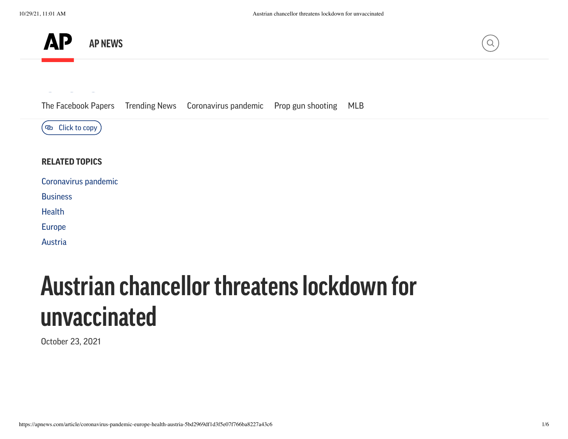



[The](https://facebook.com/dialog/share?app_id=870613919693099&display=popup&href=https://apnews.com/article/coronavirus-pandemic-europe-health-austria-5bd2969df1d3f5e07f766ba8227a43c6) [Facebook](https://apnews.com/hub/the-facebook-papers?utm_source=apnewsnav&utm_medium=featured) [Pap](mailto:?subject=Austrian%20chancellor%20threatens%20lockdown%20for%20unvaccinated&body=https://apnews.com/article/coronavirus-pandemic-europe-health-austria-5bd2969df1d3f5e07f766ba8227a43c6)ers [Trending](https://apnews.com/hub/trending-news?utm_source=apnewsnav&utm_medium=featured) News [Coronavirus](https://apnews.com/hub/coronavirus-pandemic?utm_source=apnewsnav&utm_medium=featured) pandemic Prop gun [shooting](https://apnews.com/hub/prop-gun-shooting?utm_source=apnewsnav&utm_medium=featured) [MLB](https://apnews.com/hub/mlb?utm_source=apnewsnav&utm_medium=featured)



#### **RELATED TOPICS**

| Coronavirus pandemic |  |
|----------------------|--|
|                      |  |

**[Business](https://apnews.com/hub/business)** 

**[Health](https://apnews.com/hub/health)** 

[Europe](https://apnews.com/hub/europe)

[Austria](https://apnews.com/hub/austria)

# **Austrian chancellor threatenslockdown for unvaccinated**

October 23, 2021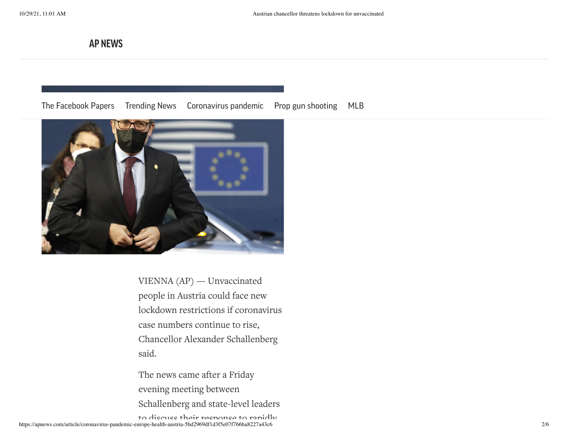**AP NEWS**

#### The [Facebook](https://apnews.com/hub/the-facebook-papers?utm_source=apnewsnav&utm_medium=featured) Papers [Trending](https://apnews.com/hub/trending-news?utm_source=apnewsnav&utm_medium=featured) News [Coronavirus](https://apnews.com/hub/coronavirus-pandemic?utm_source=apnewsnav&utm_medium=featured) pandemic Prop gun [shooting](https://apnews.com/hub/prop-gun-shooting?utm_source=apnewsnav&utm_medium=featured) [MLB](https://apnews.com/hub/mlb?utm_source=apnewsnav&utm_medium=featured)



VIENNA (AP) — Unvaccinated people in Austria could face new lockdown restrictions if coronavirus case numbers continue to rise, Chancellor Alexander Schallenberg said.

The news came after a Friday evening meeting between Schallenberg and state-level leaders